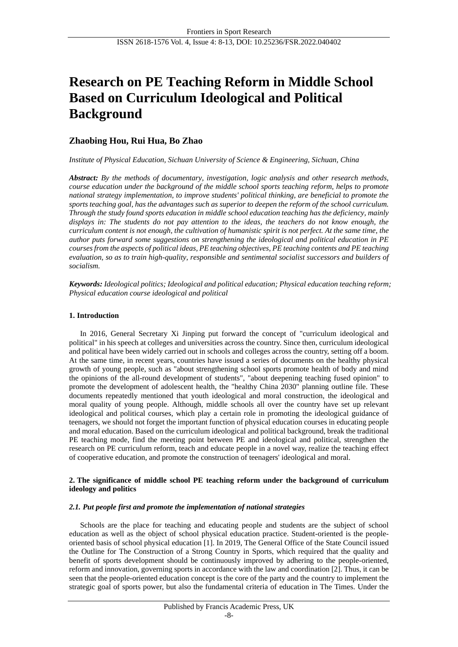# **Research on PE Teaching Reform in Middle School Based on Curriculum Ideological and Political Background**

# **Zhaobing Hou, Rui Hua, Bo Zhao**

# *Institute of Physical Education, Sichuan University of Science & Engineering, Sichuan, China*

*Abstract: By the methods of documentary, investigation, logic analysis and other research methods, course education under the background of the middle school sports teaching reform, helps to promote national strategy implementation, to improve students' political thinking, are beneficial to promote the sports teaching goal, has the advantages such as superior to deepen the reform of the school curriculum. Through the study found sports education in middle school education teaching has the deficiency, mainly displays in: The students do not pay attention to the ideas, the teachers do not know enough, the curriculum content is not enough, the cultivation of humanistic spirit is not perfect. At the same time, the author puts forward some suggestions on strengthening the ideological and political education in PE courses from the aspects of political ideas, PE teaching objectives, PE teaching contents and PE teaching evaluation, so as to train high-quality, responsible and sentimental socialist successors and builders of socialism.*

*Keywords: Ideological politics; Ideological and political education; Physical education teaching reform; Physical education course ideological and political*

# **1. Introduction**

In 2016, General Secretary Xi Jinping put forward the concept of "curriculum ideological and political" in his speech at colleges and universities across the country. Since then, curriculum ideological and political have been widely carried out in schools and colleges across the country, setting off a boom. At the same time, in recent years, countries have issued a series of documents on the healthy physical growth of young people, such as "about strengthening school sports promote health of body and mind the opinions of the all-round development of students", "about deepening teaching fused opinion" to promote the development of adolescent health, the "healthy China 2030" planning outline file. These documents repeatedly mentioned that youth ideological and moral construction, the ideological and moral quality of young people. Although, middle schools all over the country have set up relevant ideological and political courses, which play a certain role in promoting the ideological guidance of teenagers, we should not forget the important function of physical education courses in educating people and moral education. Based on the curriculum ideological and political background, break the traditional PE teaching mode, find the meeting point between PE and ideological and political, strengthen the research on PE curriculum reform, teach and educate people in a novel way, realize the teaching effect of cooperative education, and promote the construction of teenagers' ideological and moral.

# **2. The significance of middle school PE teaching reform under the background of curriculum ideology and politics**

## *2.1. Put people first and promote the implementation of national strategies*

Schools are the place for teaching and educating people and students are the subject of school education as well as the object of school physical education practice. Student-oriented is the peopleoriented basis of school physical education [1]. In 2019, The General Office of the State Council issued the Outline for The Construction of a Strong Country in Sports, which required that the quality and benefit of sports development should be continuously improved by adhering to the people-oriented, reform and innovation, governing sports in accordance with the law and coordination [2]. Thus, it can be seen that the people-oriented education concept is the core of the party and the country to implement the strategic goal of sports power, but also the fundamental criteria of education in The Times. Under the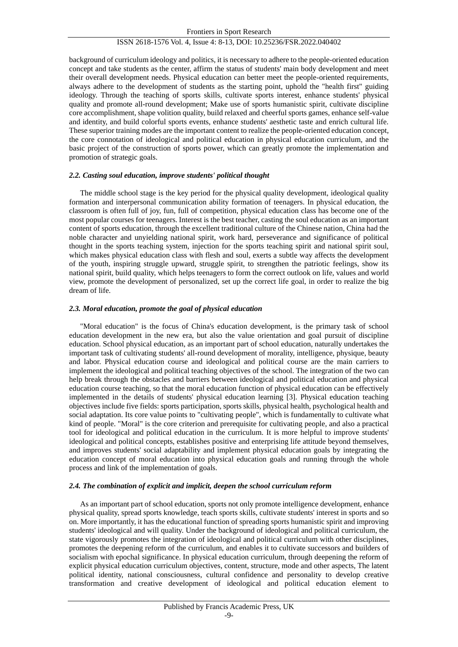background of curriculum ideology and politics, it is necessary to adhere to the people-oriented education concept and take students as the center, affirm the status of students' main body development and meet their overall development needs. Physical education can better meet the people-oriented requirements, always adhere to the development of students as the starting point, uphold the "health first" guiding ideology. Through the teaching of sports skills, cultivate sports interest, enhance students' physical quality and promote all-round development; Make use of sports humanistic spirit, cultivate discipline core accomplishment, shape volition quality, build relaxed and cheerful sports games, enhance self-value and identity, and build colorful sports events, enhance students' aesthetic taste and enrich cultural life. These superior training modes are the important content to realize the people-oriented education concept, the core connotation of ideological and political education in physical education curriculum, and the basic project of the construction of sports power, which can greatly promote the implementation and promotion of strategic goals.

# *2.2. Casting soul education, improve students' political thought*

The middle school stage is the key period for the physical quality development, ideological quality formation and interpersonal communication ability formation of teenagers. In physical education, the classroom is often full of joy, fun, full of competition, physical education class has become one of the most popular courses for teenagers. Interest is the best teacher, casting the soul education as an important content of sports education, through the excellent traditional culture of the Chinese nation, China had the noble character and unyielding national spirit, work hard, perseverance and significance of political thought in the sports teaching system, injection for the sports teaching spirit and national spirit soul, which makes physical education class with flesh and soul, exerts a subtle way affects the development of the youth, inspiring struggle upward, struggle spirit, to strengthen the patriotic feelings, show its national spirit, build quality, which helps teenagers to form the correct outlook on life, values and world view, promote the development of personalized, set up the correct life goal, in order to realize the big dream of life.

# *2.3. Moral education, promote the goal of physical education*

"Moral education" is the focus of China's education development, is the primary task of school education development in the new era, but also the value orientation and goal pursuit of discipline education. School physical education, as an important part of school education, naturally undertakes the important task of cultivating students' all-round development of morality, intelligence, physique, beauty and labor. Physical education course and ideological and political course are the main carriers to implement the ideological and political teaching objectives of the school. The integration of the two can help break through the obstacles and barriers between ideological and political education and physical education course teaching, so that the moral education function of physical education can be effectively implemented in the details of students' physical education learning [3]. Physical education teaching objectives include five fields: sports participation, sports skills, physical health, psychological health and social adaptation. Its core value points to "cultivating people", which is fundamentally to cultivate what kind of people. "Moral" is the core criterion and prerequisite for cultivating people, and also a practical tool for ideological and political education in the curriculum. It is more helpful to improve students' ideological and political concepts, establishes positive and enterprising life attitude beyond themselves, and improves students' social adaptability and implement physical education goals by integrating the education concept of moral education into physical education goals and running through the whole process and link of the implementation of goals.

# *2.4. The combination of explicit and implicit, deepen the school curriculum reform*

As an important part of school education, sports not only promote intelligence development, enhance physical quality, spread sports knowledge, teach sports skills, cultivate students' interest in sports and so on. More importantly, it has the educational function of spreading sports humanistic spirit and improving students' ideological and will quality. Under the background of ideological and political curriculum, the state vigorously promotes the integration of ideological and political curriculum with other disciplines, promotes the deepening reform of the curriculum, and enables it to cultivate successors and builders of socialism with epochal significance. In physical education curriculum, through deepening the reform of explicit physical education curriculum objectives, content, structure, mode and other aspects, The latent political identity, national consciousness, cultural confidence and personality to develop creative transformation and creative development of ideological and political education element to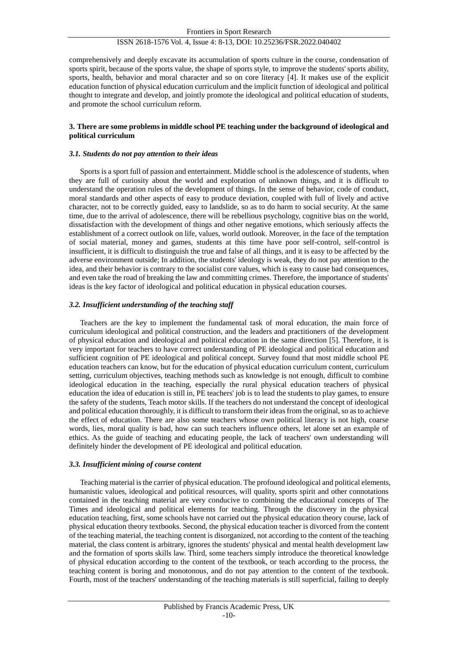comprehensively and deeply excavate its accumulation of sports culture in the course, condensation of sports spirit, because of the sports value, the shape of sports style, to improve the students' sports ability, sports, health, behavior and moral character and so on core literacy [4]. It makes use of the explicit education function of physical education curriculum and the implicit function of ideological and political thought to integrate and develop, and jointly promote the ideological and political education of students, and promote the school curriculum reform.

# **3. There are some problems in middle school PE teaching under the background of ideological and political curriculum**

## *3.1. Students do not pay attention to their ideas*

Sports is a sport full of passion and entertainment. Middle school is the adolescence of students, when they are full of curiosity about the world and exploration of unknown things, and it is difficult to understand the operation rules of the development of things. In the sense of behavior, code of conduct, moral standards and other aspects of easy to produce deviation, coupled with full of lively and active character, not to be correctly guided, easy to landslide, so as to do harm to social security. At the same time, due to the arrival of adolescence, there will be rebellious psychology, cognitive bias on the world, dissatisfaction with the development of things and other negative emotions, which seriously affects the establishment of a correct outlook on life, values, world outlook. Moreover, in the face of the temptation of social material, money and games, students at this time have poor self-control, self-control is insufficient, it is difficult to distinguish the true and false of all things, and it is easy to be affected by the adverse environment outside; In addition, the students' ideology is weak, they do not pay attention to the idea, and their behavior is contrary to the socialist core values, which is easy to cause bad consequences, and even take the road of breaking the law and committing crimes. Therefore, the importance of students' ideas is the key factor of ideological and political education in physical education courses.

## *3.2. Insufficient understanding of the teaching staff*

Teachers are the key to implement the fundamental task of moral education, the main force of curriculum ideological and political construction, and the leaders and practitioners of the development of physical education and ideological and political education in the same direction [5]. Therefore, it is very important for teachers to have correct understanding of PE ideological and political education and sufficient cognition of PE ideological and political concept. Survey found that most middle school PE education teachers can know, but for the education of physical education curriculum content, curriculum setting, curriculum objectives, teaching methods such as knowledge is not enough, difficult to combine ideological education in the teaching, especially the rural physical education teachers of physical education the idea of education is still in, PE teachers' job is to lead the students to play games, to ensure the safety of the students, Teach motor skills. If the teachers do not understand the concept of ideological and political education thoroughly, it is difficult to transform their ideas from the original, so as to achieve the effect of education. There are also some teachers whose own political literacy is not high, coarse words, lies, moral quality is bad, how can such teachers influence others, let alone set an example of ethics. As the guide of teaching and educating people, the lack of teachers' own understanding will definitely hinder the development of PE ideological and political education.

#### *3.3. Insufficient mining of course content*

Teaching material is the carrier of physical education. The profound ideological and political elements, humanistic values, ideological and political resources, will quality, sports spirit and other connotations contained in the teaching material are very conducive to combining the educational concepts of The Times and ideological and political elements for teaching. Through the discovery in the physical education teaching, first, some schools have not carried out the physical education theory course, lack of physical education theory textbooks. Second, the physical education teacher is divorced from the content of the teaching material, the teaching content is disorganized, not according to the content of the teaching material, the class content is arbitrary, ignores the students' physical and mental health development law and the formation of sports skills law. Third, some teachers simply introduce the theoretical knowledge of physical education according to the content of the textbook, or teach according to the process, the teaching content is boring and monotonous, and do not pay attention to the content of the textbook. Fourth, most of the teachers' understanding of the teaching materials is still superficial, failing to deeply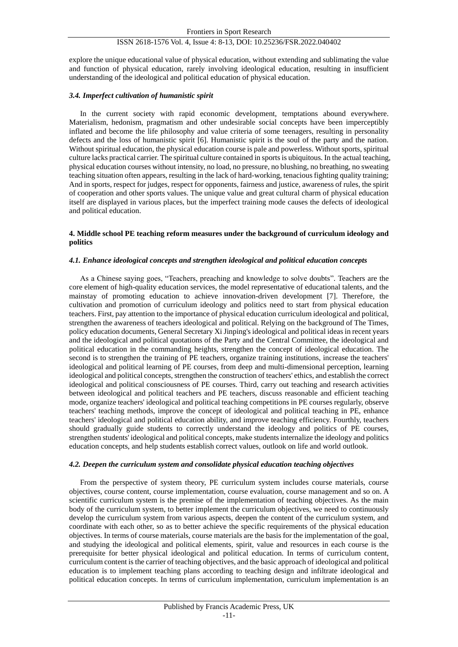explore the unique educational value of physical education, without extending and sublimating the value and function of physical education, rarely involving ideological education, resulting in insufficient understanding of the ideological and political education of physical education.

# *3.4. Imperfect cultivation of humanistic spirit*

In the current society with rapid economic development, temptations abound everywhere. Materialism, hedonism, pragmatism and other undesirable social concepts have been imperceptibly inflated and become the life philosophy and value criteria of some teenagers, resulting in personality defects and the loss of humanistic spirit [6]. Humanistic spirit is the soul of the party and the nation. Without spiritual education, the physical education course is pale and powerless. Without sports, spiritual culture lacks practical carrier. The spiritual culture contained in sports is ubiquitous. In the actual teaching, physical education courses without intensity, no load, no pressure, no blushing, no breathing, no sweating teaching situation often appears, resulting in the lack of hard-working, tenacious fighting quality training; And in sports, respect for judges, respect for opponents, fairness and justice, awareness of rules, the spirit of cooperation and other sports values. The unique value and great cultural charm of physical education itself are displayed in various places, but the imperfect training mode causes the defects of ideological and political education.

# **4. Middle school PE teaching reform measures under the background of curriculum ideology and politics**

# *4.1. Enhance ideological concepts and strengthen ideological and political education concepts*

As a Chinese saying goes, "Teachers, preaching and knowledge to solve doubts". Teachers are the core element of high-quality education services, the model representative of educational talents, and the mainstay of promoting education to achieve innovation-driven development [7]. Therefore, the cultivation and promotion of curriculum ideology and politics need to start from physical education teachers. First, pay attention to the importance of physical education curriculum ideological and political, strengthen the awareness of teachers ideological and political. Relying on the background of The Times, policy education documents, General Secretary Xi Jinping's ideological and political ideas in recent years and the ideological and political quotations of the Party and the Central Committee, the ideological and political education in the commanding heights, strengthen the concept of ideological education. The second is to strengthen the training of PE teachers, organize training institutions, increase the teachers' ideological and political learning of PE courses, from deep and multi-dimensional perception, learning ideological and political concepts, strengthen the construction of teachers' ethics, and establish the correct ideological and political consciousness of PE courses. Third, carry out teaching and research activities between ideological and political teachers and PE teachers, discuss reasonable and efficient teaching mode, organize teachers' ideological and political teaching competitions in PE courses regularly, observe teachers' teaching methods, improve the concept of ideological and political teaching in PE, enhance teachers' ideological and political education ability, and improve teaching efficiency. Fourthly, teachers should gradually guide students to correctly understand the ideology and politics of PE courses, strengthen students' ideological and political concepts, make students internalize the ideology and politics education concepts, and help students establish correct values, outlook on life and world outlook.

## *4.2. Deepen the curriculum system and consolidate physical education teaching objectives*

From the perspective of system theory, PE curriculum system includes course materials, course objectives, course content, course implementation, course evaluation, course management and so on. A scientific curriculum system is the premise of the implementation of teaching objectives. As the main body of the curriculum system, to better implement the curriculum objectives, we need to continuously develop the curriculum system from various aspects, deepen the content of the curriculum system, and coordinate with each other, so as to better achieve the specific requirements of the physical education objectives. In terms of course materials, course materials are the basis for the implementation of the goal, and studying the ideological and political elements, spirit, value and resources in each course is the prerequisite for better physical ideological and political education. In terms of curriculum content, curriculum content is the carrier of teaching objectives, and the basic approach of ideological and political education is to implement teaching plans according to teaching design and infiltrate ideological and political education concepts. In terms of curriculum implementation, curriculum implementation is an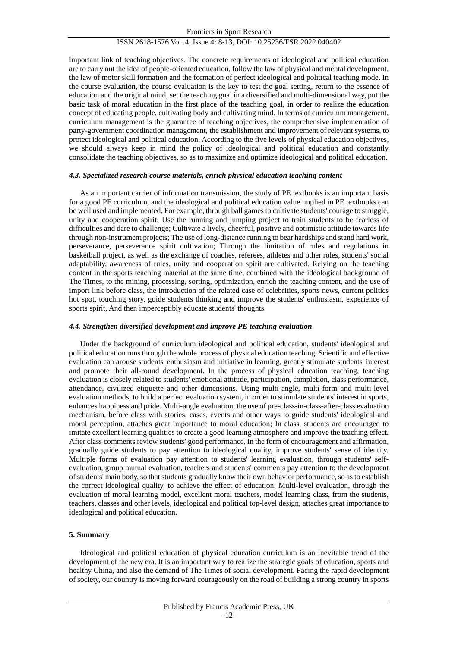important link of teaching objectives. The concrete requirements of ideological and political education are to carry out the idea of people-oriented education, follow the law of physical and mental development, the law of motor skill formation and the formation of perfect ideological and political teaching mode. In the course evaluation, the course evaluation is the key to test the goal setting, return to the essence of education and the original mind, set the teaching goal in a diversified and multi-dimensional way, put the basic task of moral education in the first place of the teaching goal, in order to realize the education concept of educating people, cultivating body and cultivating mind. In terms of curriculum management, curriculum management is the guarantee of teaching objectives, the comprehensive implementation of party-government coordination management, the establishment and improvement of relevant systems, to protect ideological and political education. According to the five levels of physical education objectives, we should always keep in mind the policy of ideological and political education and constantly consolidate the teaching objectives, so as to maximize and optimize ideological and political education.

# *4.3. Specialized research course materials, enrich physical education teaching content*

As an important carrier of information transmission, the study of PE textbooks is an important basis for a good PE curriculum, and the ideological and political education value implied in PE textbooks can be well used and implemented. For example, through ball games to cultivate students' courage to struggle, unity and cooperation spirit; Use the running and jumping project to train students to be fearless of difficulties and dare to challenge; Cultivate a lively, cheerful, positive and optimistic attitude towards life through non-instrument projects; The use of long-distance running to bear hardships and stand hard work, perseverance, perseverance spirit cultivation; Through the limitation of rules and regulations in basketball project, as well as the exchange of coaches, referees, athletes and other roles, students' social adaptability, awareness of rules, unity and cooperation spirit are cultivated. Relying on the teaching content in the sports teaching material at the same time, combined with the ideological background of The Times, to the mining, processing, sorting, optimization, enrich the teaching content, and the use of import link before class, the introduction of the related case of celebrities, sports news, current politics hot spot, touching story, guide students thinking and improve the students' enthusiasm, experience of sports spirit, And then imperceptibly educate students' thoughts.

# *4.4. Strengthen diversified development and improve PE teaching evaluation*

Under the background of curriculum ideological and political education, students' ideological and political education runs through the whole process of physical education teaching. Scientific and effective evaluation can arouse students' enthusiasm and initiative in learning, greatly stimulate students' interest and promote their all-round development. In the process of physical education teaching, teaching evaluation is closely related to students' emotional attitude, participation, completion, class performance, attendance, civilized etiquette and other dimensions. Using multi-angle, multi-form and multi-level evaluation methods, to build a perfect evaluation system, in order to stimulate students' interest in sports, enhances happiness and pride. Multi-angle evaluation, the use of pre-class-in-class-after-class evaluation mechanism, before class with stories, cases, events and other ways to guide students' ideological and moral perception, attaches great importance to moral education; In class, students are encouraged to imitate excellent learning qualities to create a good learning atmosphere and improve the teaching effect. After class comments review students' good performance, in the form of encouragement and affirmation, gradually guide students to pay attention to ideological quality, improve students' sense of identity. Multiple forms of evaluation pay attention to students' learning evaluation, through students' selfevaluation, group mutual evaluation, teachers and students' comments pay attention to the development of students' main body, so that students gradually know their own behavior performance, so as to establish the correct ideological quality, to achieve the effect of education. Multi-level evaluation, through the evaluation of moral learning model, excellent moral teachers, model learning class, from the students, teachers, classes and other levels, ideological and political top-level design, attaches great importance to ideological and political education.

# **5. Summary**

Ideological and political education of physical education curriculum is an inevitable trend of the development of the new era. It is an important way to realize the strategic goals of education, sports and healthy China, and also the demand of The Times of social development. Facing the rapid development of society, our country is moving forward courageously on the road of building a strong country in sports